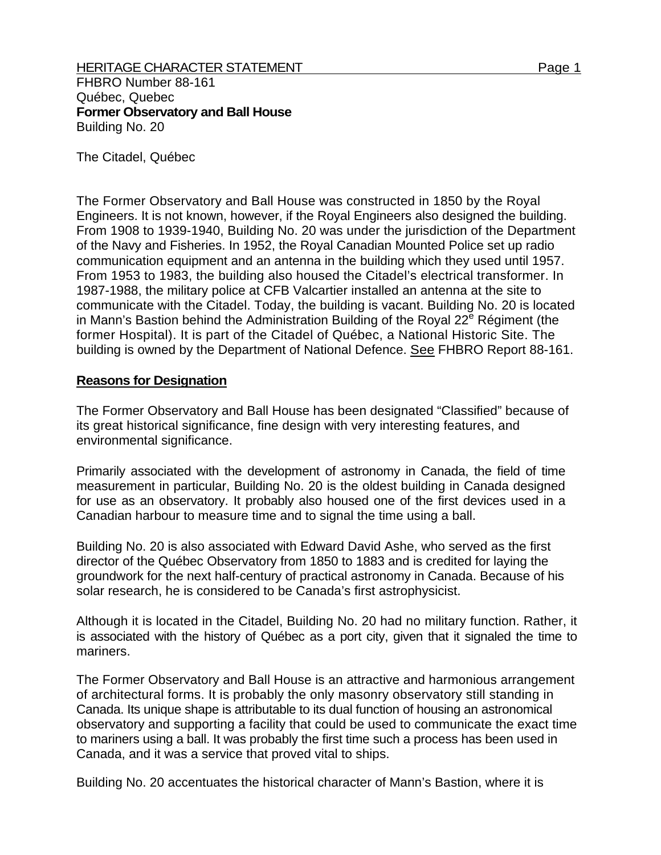**Former Observatory and Ball House**  Building No. 20

The Citadel, Québec

The Former Observatory and Ball House was constructed in 1850 by the Royal Engineers. It is not known, however, if the Royal Engineers also designed the building. From 1908 to 1939-1940, Building No. 20 was under the jurisdiction of the Department of the Navy and Fisheries. In 1952, the Royal Canadian Mounted Police set up radio communication equipment and an antenna in the building which they used until 1957. From 1953 to 1983, the building also housed the Citadel's electrical transformer. In 1987-1988, the military police at CFB Valcartier installed an antenna at the site to communicate with the Citadel. Today, the building is vacant. Building No. 20 is located in Mann's Bastion behind the Administration Building of the Royal 22 $^e$  Régiment (the former Hospital). It is part of the Citadel of Québec, a National Historic Site. The building is owned by the Department of National Defence. See FHBRO Report 88-161.

## **Reasons for Designation**

The Former Observatory and Ball House has been designated "Classified" because of its great historical significance, fine design with very interesting features, and environmental significance.

Primarily associated with the development of astronomy in Canada, the field of time measurement in particular, Building No. 20 is the oldest building in Canada designed for use as an observatory. It probably also housed one of the first devices used in a Canadian harbour to measure time and to signal the time using a ball.

Building No. 20 is also associated with Edward David Ashe, who served as the first director of the Québec Observatory from 1850 to 1883 and is credited for laying the groundwork for the next half-century of practical astronomy in Canada. Because of his solar research, he is considered to be Canada's first astrophysicist.

Although it is located in the Citadel, Building No. 20 had no military function. Rather, it is associated with the history of Québec as a port city, given that it signaled the time to mariners.

The Former Observatory and Ball House is an attractive and harmonious arrangement of architectural forms. It is probably the only masonry observatory still standing in Canada. Its unique shape is attributable to its dual function of housing an astronomical observatory and supporting a facility that could be used to communicate the exact time to mariners using a ball. It was probably the first time such a process has been used in Canada, and it was a service that proved vital to ships.

Building No. 20 accentuates the historical character of Mann's Bastion, where it is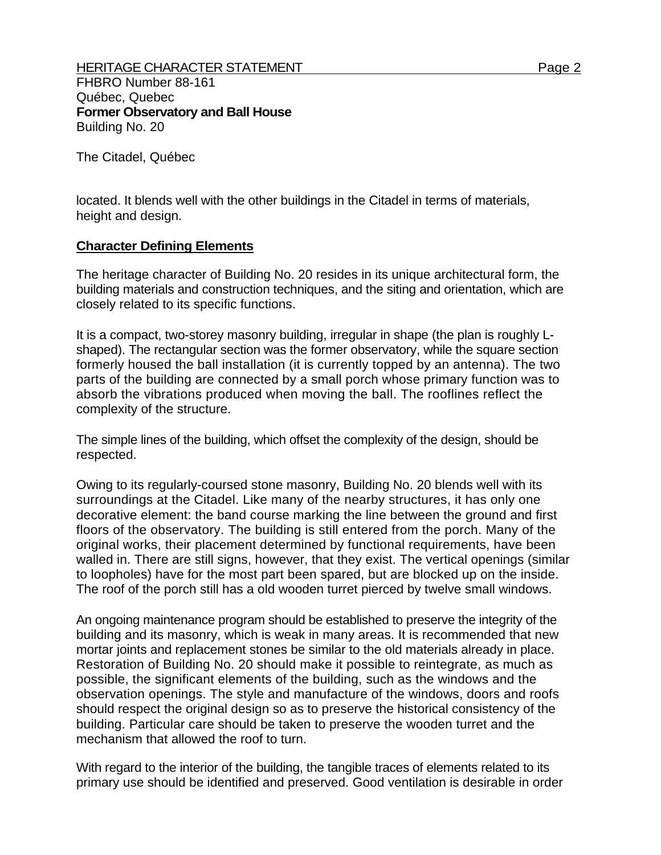The Citadel, Québec

located. It blends well with the other buildings in the Citadel in terms of materials, height and design.

## **Character Defining Elements**

The heritage character of Building No. 20 resides in its unique architectural form, the building materials and construction techniques, and the siting and orientation, which are closely related to its specific functions.

It is a compact, two-storey masonry building, irregular in shape (the plan is roughly Lshaped). The rectangular section was the former observatory, while the square section formerly housed the ball installation (it is currently topped by an antenna). The two parts of the building are connected by a small porch whose primary function was to absorb the vibrations produced when moving the ball. The rooflines reflect the complexity of the structure.

The simple lines of the building, which offset the complexity of the design, should be respected.

Owing to its regularly-coursed stone masonry, Building No. 20 blends well with its surroundings at the Citadel. Like many of the nearby structures, it has only one decorative element: the band course marking the line between the ground and first floors of the observatory. The building is still entered from the porch. Many of the original works, their placement determined by functional requirements, have been walled in. There are still signs, however, that they exist. The vertical openings (similar to loopholes) have for the most part been spared, but are blocked up on the inside. The roof of the porch still has a old wooden turret pierced by twelve small windows.

An ongoing maintenance program should be established to preserve the integrity of the building and its masonry, which is weak in many areas. It is recommended that new mortar joints and replacement stones be similar to the old materials already in place. Restoration of Building No. 20 should make it possible to reintegrate, as much as possible, the significant elements of the building, such as the windows and the observation openings. The style and manufacture of the windows, doors and roofs should respect the original design so as to preserve the historical consistency of the building. Particular care should be taken to preserve the wooden turret and the mechanism that allowed the roof to turn.

With regard to the interior of the building, the tangible traces of elements related to its primary use should be identified and preserved. Good ventilation is desirable in order